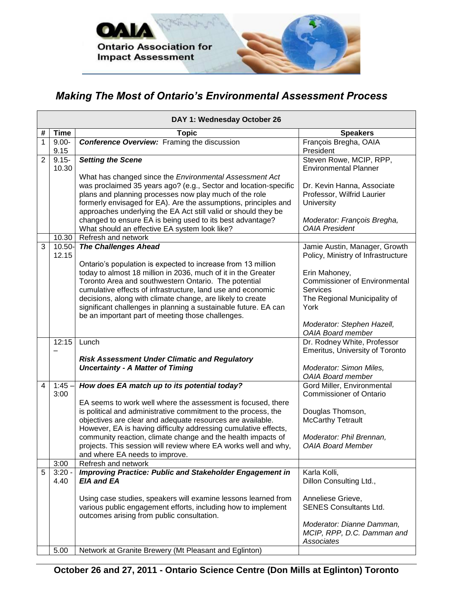

## *Making The Most of Ontario's Environmental Assessment Process*

|   | DAY 1: Wednesday October 26 |                                                                                                                                                                                                                                                                                                                                                                            |                                                                                                                  |  |  |  |
|---|-----------------------------|----------------------------------------------------------------------------------------------------------------------------------------------------------------------------------------------------------------------------------------------------------------------------------------------------------------------------------------------------------------------------|------------------------------------------------------------------------------------------------------------------|--|--|--|
| # | <b>Time</b>                 | Topic                                                                                                                                                                                                                                                                                                                                                                      | <b>Speakers</b>                                                                                                  |  |  |  |
| 1 | $9.00 -$<br>9.15            | <b>Conference Overview:</b> Framing the discussion                                                                                                                                                                                                                                                                                                                         | François Bregha, OAIA<br>President                                                                               |  |  |  |
| 2 | $9.15 -$<br>10.30           | <b>Setting the Scene</b>                                                                                                                                                                                                                                                                                                                                                   | Steven Rowe, MCIP, RPP,<br><b>Environmental Planner</b>                                                          |  |  |  |
|   |                             | What has changed since the Environmental Assessment Act<br>was proclaimed 35 years ago? (e.g., Sector and location-specific<br>plans and planning processes now play much of the role<br>formerly envisaged for EA). Are the assumptions, principles and<br>approaches underlying the EA Act still valid or should they be                                                 | Dr. Kevin Hanna, Associate<br>Professor, Wilfrid Laurier<br>University                                           |  |  |  |
|   |                             | changed to ensure EA is being used to its best advantage?<br>What should an effective EA system look like?                                                                                                                                                                                                                                                                 | Moderator: François Bregha,<br><b>OAIA President</b>                                                             |  |  |  |
|   | 10.30                       | Refresh and network                                                                                                                                                                                                                                                                                                                                                        |                                                                                                                  |  |  |  |
| 3 | 10.50-<br>12.15             | <b>The Challenges Ahead</b><br>Ontario's population is expected to increase from 13 million                                                                                                                                                                                                                                                                                | Jamie Austin, Manager, Growth<br>Policy, Ministry of Infrastructure                                              |  |  |  |
|   |                             | today to almost 18 million in 2036, much of it in the Greater<br>Toronto Area and southwestern Ontario. The potential<br>cumulative effects of infrastructure, land use and economic<br>decisions, along with climate change, are likely to create<br>significant challenges in planning a sustainable future. EA can<br>be an important part of meeting those challenges. | Erin Mahoney,<br><b>Commissioner of Environmental</b><br><b>Services</b><br>The Regional Municipality of<br>York |  |  |  |
|   |                             |                                                                                                                                                                                                                                                                                                                                                                            | Moderator: Stephen Hazell,<br><b>OAIA Board member</b>                                                           |  |  |  |
|   | 12:15                       | Lunch                                                                                                                                                                                                                                                                                                                                                                      | Dr. Rodney White, Professor<br>Emeritus, University of Toronto                                                   |  |  |  |
|   |                             | <b>Risk Assessment Under Climatic and Regulatory</b>                                                                                                                                                                                                                                                                                                                       |                                                                                                                  |  |  |  |
|   |                             | <b>Uncertainty - A Matter of Timing</b>                                                                                                                                                                                                                                                                                                                                    | Moderator: Simon Miles,<br><b>OAIA Board member</b>                                                              |  |  |  |
| 4 | 1:45.<br>3:00               | How does EA match up to its potential today?                                                                                                                                                                                                                                                                                                                               | Gord Miller, Environmental<br><b>Commissioner of Ontario</b>                                                     |  |  |  |
|   |                             | EA seems to work well where the assessment is focused, there<br>is political and administrative commitment to the process, the<br>objectives are clear and adequate resources are available.<br>However, EA is having difficulty addressing cumulative effects,                                                                                                            | Douglas Thomson,<br><b>McCarthy Tetrault</b>                                                                     |  |  |  |
|   |                             | community reaction, climate change and the health impacts of<br>projects. This session will review where EA works well and why,<br>and where EA needs to improve.                                                                                                                                                                                                          | Moderator: Phil Brennan,<br><b>OAIA Board Member</b>                                                             |  |  |  |
|   | 3:00                        | Refresh and network                                                                                                                                                                                                                                                                                                                                                        |                                                                                                                  |  |  |  |
| 5 | $3:20 -$<br>4.40            | <b>Improving Practice: Public and Stakeholder Engagement in</b><br><b>EIA and EA</b>                                                                                                                                                                                                                                                                                       | Karla Kolli,<br>Dillon Consulting Ltd.,                                                                          |  |  |  |
|   |                             | Using case studies, speakers will examine lessons learned from<br>various public engagement efforts, including how to implement<br>outcomes arising from public consultation.                                                                                                                                                                                              | Anneliese Grieve,<br><b>SENES Consultants Ltd.</b><br>Moderator: Dianne Damman,                                  |  |  |  |
|   |                             |                                                                                                                                                                                                                                                                                                                                                                            | MCIP, RPP, D.C. Damman and<br>Associates                                                                         |  |  |  |
|   | 5.00                        | Network at Granite Brewery (Mt Pleasant and Eglinton)                                                                                                                                                                                                                                                                                                                      |                                                                                                                  |  |  |  |